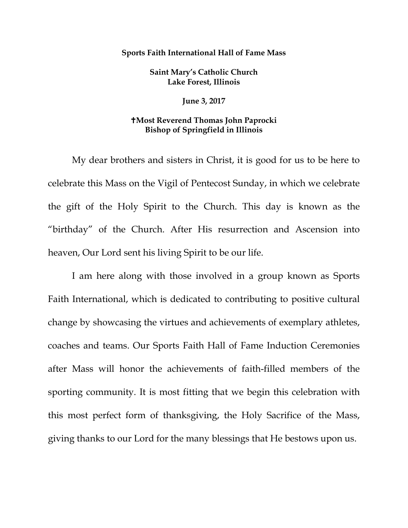## **Sports Faith International Hall of Fame Mass**

**Saint Mary's Catholic Church Lake Forest, Illinois**

**June 3, 2017**

## **Most Reverend Thomas John Paprocki Bishop of Springfield in Illinois**

My dear brothers and sisters in Christ, it is good for us to be here to celebrate this Mass on the Vigil of Pentecost Sunday, in which we celebrate the gift of the Holy Spirit to the Church. This day is known as the "birthday" of the Church. After His resurrection and Ascension into heaven, Our Lord sent his living Spirit to be our life.

I am here along with those involved in a group known as Sports Faith International, which is dedicated to contributing to positive cultural change by showcasing the virtues and achievements of exemplary athletes, coaches and teams. Our Sports Faith Hall of Fame Induction Ceremonies after Mass will honor the achievements of faith-filled members of the sporting community. It is most fitting that we begin this celebration with this most perfect form of thanksgiving, the Holy Sacrifice of the Mass, giving thanks to our Lord for the many blessings that He bestows upon us.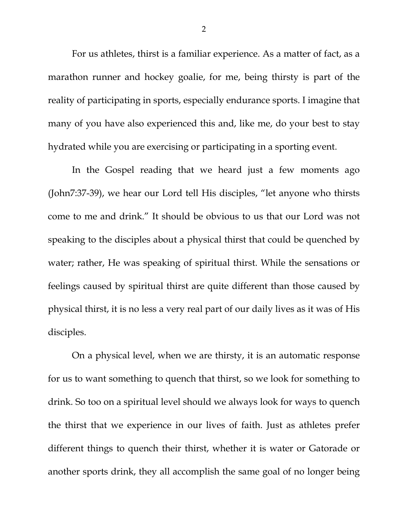For us athletes, thirst is a familiar experience. As a matter of fact, as a marathon runner and hockey goalie, for me, being thirsty is part of the reality of participating in sports, especially endurance sports. I imagine that many of you have also experienced this and, like me, do your best to stay hydrated while you are exercising or participating in a sporting event.

In the Gospel reading that we heard just a few moments ago (John7:37-39), we hear our Lord tell His disciples, "let anyone who thirsts come to me and drink." It should be obvious to us that our Lord was not speaking to the disciples about a physical thirst that could be quenched by water; rather, He was speaking of spiritual thirst. While the sensations or feelings caused by spiritual thirst are quite different than those caused by physical thirst, it is no less a very real part of our daily lives as it was of His disciples.

On a physical level, when we are thirsty, it is an automatic response for us to want something to quench that thirst, so we look for something to drink. So too on a spiritual level should we always look for ways to quench the thirst that we experience in our lives of faith. Just as athletes prefer different things to quench their thirst, whether it is water or Gatorade or another sports drink, they all accomplish the same goal of no longer being

2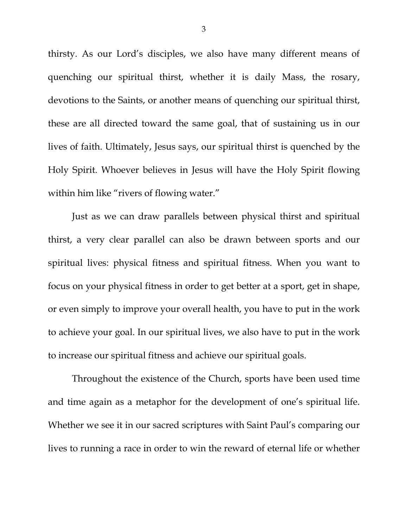thirsty. As our Lord's disciples, we also have many different means of quenching our spiritual thirst, whether it is daily Mass, the rosary, devotions to the Saints, or another means of quenching our spiritual thirst, these are all directed toward the same goal, that of sustaining us in our lives of faith. Ultimately, Jesus says, our spiritual thirst is quenched by the Holy Spirit. Whoever believes in Jesus will have the Holy Spirit flowing within him like "rivers of flowing water."

Just as we can draw parallels between physical thirst and spiritual thirst, a very clear parallel can also be drawn between sports and our spiritual lives: physical fitness and spiritual fitness. When you want to focus on your physical fitness in order to get better at a sport, get in shape, or even simply to improve your overall health, you have to put in the work to achieve your goal. In our spiritual lives, we also have to put in the work to increase our spiritual fitness and achieve our spiritual goals.

Throughout the existence of the Church, sports have been used time and time again as a metaphor for the development of one's spiritual life. Whether we see it in our sacred scriptures with Saint Paul's comparing our lives to running a race in order to win the reward of eternal life or whether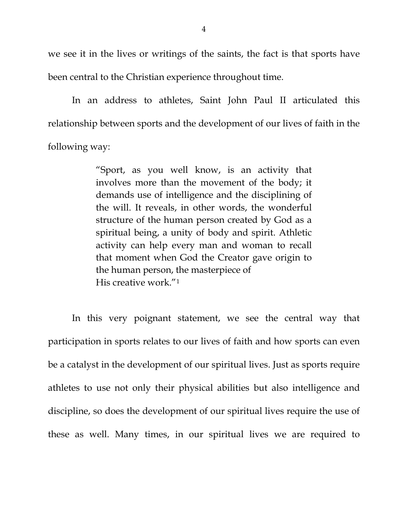we see it in the lives or writings of the saints, the fact is that sports have been central to the Christian experience throughout time.

In an address to athletes, Saint John Paul II articulated this relationship between sports and the development of our lives of faith in the following way:

> "Sport, as you well know, is an activity that involves more than the movement of the body; it demands use of intelligence and the disciplining of the will. It reveals, in other words, the wonderful structure of the human person created by God as a spiritual being, a unity of body and spirit. Athletic activity can help every man and woman to recall that moment when God the Creator gave origin to the human person, the masterpiece of His creative work."[1](#page-5-0)

In this very poignant statement, we see the central way that participation in sports relates to our lives of faith and how sports can even be a catalyst in the development of our spiritual lives. Just as sports require athletes to use not only their physical abilities but also intelligence and discipline, so does the development of our spiritual lives require the use of these as well. Many times, in our spiritual lives we are required to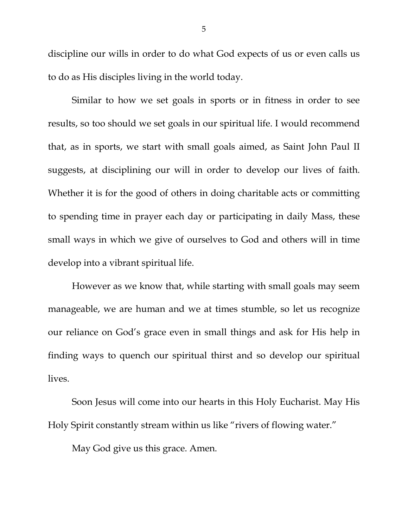discipline our wills in order to do what God expects of us or even calls us to do as His disciples living in the world today.

Similar to how we set goals in sports or in fitness in order to see results, so too should we set goals in our spiritual life. I would recommend that, as in sports, we start with small goals aimed, as Saint John Paul II suggests, at disciplining our will in order to develop our lives of faith. Whether it is for the good of others in doing charitable acts or committing to spending time in prayer each day or participating in daily Mass, these small ways in which we give of ourselves to God and others will in time develop into a vibrant spiritual life.

However as we know that, while starting with small goals may seem manageable, we are human and we at times stumble, so let us recognize our reliance on God's grace even in small things and ask for His help in finding ways to quench our spiritual thirst and so develop our spiritual lives.

Soon Jesus will come into our hearts in this Holy Eucharist. May His Holy Spirit constantly stream within us like "rivers of flowing water."

May God give us this grace. Amen.

5